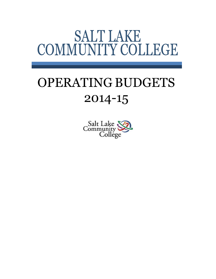# **SALT LAKE** COMMUNITY COLLEGE

# OPERATING BUDGETS 2014-15

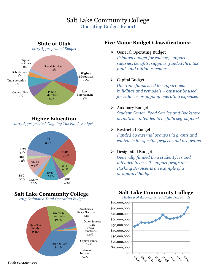### Salt Lake Community College Operating Budget Report



**Higher Education**  *2015 Appropriated Ongoing Tax Funds Budget* 



## **Salt Lake Community College**

*2015 Estimated Total Operating Budget* 



#### **Five Major Budget Classifications:**

Ø General Operating Budget *Primary budget for college; supports salaries, benefits, supplies; funded thru tax funds and tuition revenues*

#### $\triangleright$  Capital Budget

*One-time funds used to support new buildings and remodels – cannot be used for salaries or ongoing operating expenses*

#### Ø Auxiliary Budget

*Student Center, Food Service and Bookstore activities – intended to be fully self-support*

#### $\triangleright$  Restricted Budget

*Funded by external groups via grants and contracts for specific projects and programs*

#### $\triangleright$  Designated Budget

*Generally funded thru student fees and intended to be self-support programs. Parking Services is an example of a designated budget*

#### **Salt Lake Community College**

*History of Appropriated State Tax Funds* 



**Total: \$234,309,200**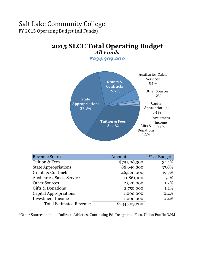FY 2015 Operating Budget (All Funds)



\*Other Sources include: Indirect, Athletics, Continuing Ed, Designated Fees, Union Pacific O&M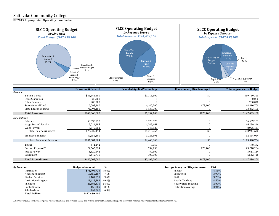FY 2015 Appropriated Operating Base Budget



|                                   | <b>Education &amp; General</b> | <b>School of Applied Technology</b> | <b>Educationally Disadvantaged</b> | <b>Total Appropriated Budget</b> |
|-----------------------------------|--------------------------------|-------------------------------------|------------------------------------|----------------------------------|
| Revenues:                         |                                |                                     |                                    |                                  |
| Tuition & Fees                    | \$58,645,500                   | \$1,113,800                         | \$0                                | \$59,759,300                     |
| Sales & Services                  | 30,000                         |                                     |                                    | 30,000                           |
| Other Sources                     | 200,000                        |                                     |                                    | 200,000                          |
| State General Fund                | 10,098,100                     | 4,140,200                           | 178,400                            | 14,416,700                       |
| <b>State Education Fund</b>       | 71,094,400                     | 1,938,700                           |                                    | 73,033,100                       |
| <b>Total Revenues</b>             | \$140,068,000                  | \$7,192,700                         | \$178,400                          | \$147,439,100                    |
| Expenditures:                     |                                |                                     |                                    |                                  |
| Salaries                          | 53,535,577                     | 3,123,576                           |                                    | 56,659,153                       |
| Wage Related Faculty              | 15,014,185                     | 1,245,161                           |                                    | 16,259,346                       |
| Wage Payroll                      | 7,679,652                      | 346,529                             |                                    | 8,026,181                        |
| <b>Total Salaries &amp; Wages</b> | \$76,229,414                   | \$4,715,266                         | \$0                                | \$80,944,680                     |
| <b>Employee Benefits</b>          | 30,858,490                     | 1,725,594                           | $\Omega$                           | 32,584,084                       |
| <b>Total Personnel Services</b>   | \$107,087,904                  | \$6,440,860                         | \$0                                | \$113,528,764                    |
| Travel                            | 471,142                        | 7,050                               |                                    | 478,192                          |
| Current Expense <sup>(1)</sup>    | 22,545,694                     | 554,190                             | 178,400                            | 23,278,284                       |
| Fuel & Power                      | 3,520,544                      | 90,600                              |                                    | 3,611,144                        |
| Equipment                         | 6,442,716                      | 100,000                             |                                    | 6,542,716                        |
| <b>Total Expenditures</b>         | \$140,068,000                  | \$7,192,700                         | \$178,400                          | \$147,439,100                    |

| <b>By Function:</b>          | <b>Budgeted Amount</b> | $\frac{0}{0}$ | <b>Average Salary and Wage Increases:</b> | E&G   |
|------------------------------|------------------------|---------------|-------------------------------------------|-------|
| Instruction                  | \$71,705,728           | 48.6%         | Faculty                                   | 4.31% |
| Academic Support             | 10,452,407             | 7.1%          | Executives                                | 3.99% |
| <b>Student Services</b>      | 14.107.839             | $9.6\%$       | Staff                                     | 3.78% |
| <b>Institutional Support</b> | 28,638,582             | 19.4%         | <b>Hourly Teaching</b>                    | 4.50% |
| Facilities                   | 21,585,675             | 14.6%         | Hourly Non-Teaching                       | 2.00% |
| Public Service               | 155,869                | $0.1\%$       | <b>Institution Average</b>                | 3.91% |
| Scholarships                 | 793.000                | $0.5\%$       |                                           |       |
| <b>Total Dollars</b>         | \$147,439,100          |               |                                           |       |

| racuity                    | 4.31'                            |  |
|----------------------------|----------------------------------|--|
| Executives                 | 3.99                             |  |
| Staff                      | $3.78$ <sup><math>(</math></sup> |  |
| <b>Hourly Teaching</b>     | 4.50 <sup>0</sup>                |  |
| Hourly Non-Teaching        | 2.00 <sup>0</sup>                |  |
| <b>Institution Average</b> | $3.91$ <sup><math>(</math></sup> |  |
|                            |                                  |  |

*1. Current Expense Includes: computer-related purchases and services, leases and rentals, contracts, service and repairs, insurance, supplies, minor equipment and scholarships, etc.*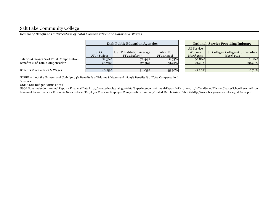*Review of Benefits as a Percentage of Total Compensation and Salaries & Wages*

|                                          | <b>Utah Public Education Agencies</b> |                          |              |  | <b>National: Service Providing Industry</b> |                                  |  |
|------------------------------------------|---------------------------------------|--------------------------|--------------|--|---------------------------------------------|----------------------------------|--|
|                                          |                                       |                          |              |  | All Service                                 |                                  |  |
|                                          | <b>SLCC</b>                           | USHE Institution Average | Public Ed    |  | Workers                                     | Jr. Colleges, Colleges & Univers |  |
|                                          | FY 15 Budget                          | $FY$ 15 Budget $*$       | FY 13 Actual |  | March 2014                                  | March 2014                       |  |
| Salaries & Wages % of Total Compensation | 71.30%                                | 72.44%                   | 68.73%       |  | 70.80%                                      | 71                               |  |
| Benefits % of Total Compensation         | 28.70%                                | 27.56%                   | $31.27\%$    |  | 29.20%                                      | 28                               |  |
|                                          |                                       |                          |              |  |                                             |                                  |  |
| Benefits % of Salaries & Wages           | 40.25%                                | 38.05%                   | 45.50%       |  | 41.20%                                      | 40                               |  |

| <b>National: Service Providing Industry</b> |                                       |  |  |  |  |  |  |
|---------------------------------------------|---------------------------------------|--|--|--|--|--|--|
| All Service                                 |                                       |  |  |  |  |  |  |
| Workers                                     | Jr. Colleges, Colleges & Universities |  |  |  |  |  |  |
| <b>March 2014</b>                           | <b>March 2014</b>                     |  |  |  |  |  |  |
| 70.80%                                      | 71.10%                                |  |  |  |  |  |  |
| 29.20%                                      | 28.90%                                |  |  |  |  |  |  |
|                                             |                                       |  |  |  |  |  |  |
| 41.20%                                      |                                       |  |  |  |  |  |  |

\*USHE without the University of Utah (40.04% Benefits % of Salaries & Wages and 28.59% Benefits % of Total Compensation)

#### **Sources**

USHE S10 Budget Forms (FY15)

USOE Superindendent Annual Report - Financial Data http://www.schools.utah.gov/data/Superintendents-Annual-Report/AR-2012-2013/15TotalSchoolDistrictCharterSchoolRevenueExper Bureau of Labor Statistics Economic News Release "Employer Costs for Employee Compensation Summary" dated March 2014 - Table 10 http://www.bls.gov/news.release/pdf/ecec.pdf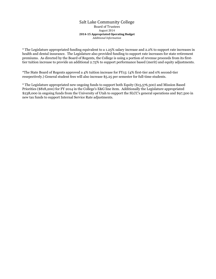#### Salt Lake Community College Board of Trustees August 2014 **2014-15 Appropriated Operating Budget** *Additional Information*

\* The Legislature appropriated funding equivalent to a 1.25% salary increase and 2.2% to support rate increases in health and dental insurance. The Legislature also provided funding to support rate increases for state retirement premiums. As directed by the Board of Regents, the College is using a portion of revenue proceeds from its firsttier tuition increase to provide an additional 2.75% to support performance based (merit) and equity adjustments.

\*The State Board of Regents approved a 4% tuition increase for FY15: (4% first-tier and 0% second-tier resepectively.) General student fees will also increase \$5.25 per semester for full-time students.

\* The Legislature appropriated new ongoing funds to support both Equity (\$15,576,300) and Mission Based Priorities (\$818,200) for FY 2014 in the College's E&G line item. Additionally the Legislature appropriated \$238,000 in ongoing funds from the University of Utah to support the SLCC's general operations and \$97,500 in new tax funds to support Internal Service Rate adjustments.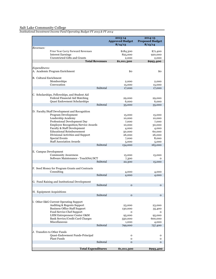*Institutional Investment Income Fund Operating Budget FY 2015 & FY 2014*

|                               |                                                                                        |          | 2013-14<br><b>Approved Budget</b><br>8/14/13 | 2014-15<br><b>Proposed Budget</b><br>8/13/14 |
|-------------------------------|----------------------------------------------------------------------------------------|----------|----------------------------------------------|----------------------------------------------|
| Revenues:                     | Prior Year Carry Forward Revenues<br><b>Interest Earnings</b>                          |          | \$184,300<br>825,000                         | \$71,400<br>920,000                          |
|                               | Unrestricted Gifts and Grants<br><b>Total Revenues</b>                                 |          | 2,000<br>\$1,011,300                         | 2,000<br>\$993,400                           |
|                               |                                                                                        |          |                                              |                                              |
| Expenditures:                 | A. Academic Program Enrichment                                                         |          | \$0                                          | \$0                                          |
| <b>B. Cultural Enrichment</b> | Memberships                                                                            |          | 2,000                                        | 2,000                                        |
|                               | Convocation                                                                            | Subtotal | 15,000<br>17,000                             | 15,000<br>17,000                             |
|                               | C. Scholarships, Fellowships, and Student Aid<br><b>Federal Financial Aid Matching</b> |          | 29,000                                       | 29,000                                       |
|                               | Quasi Endowment Scholarships                                                           |          | 6,000                                        | 6,000                                        |
|                               |                                                                                        | Subtotal | 35,000                                       | 35,000                                       |
|                               | D. Faculty/Staff Development and Recognition<br>Program Development                    |          | 15,000                                       | 15,000                                       |
|                               | Leadership Academy                                                                     |          | 10,000                                       | 10,000                                       |
|                               | Professional Development Day                                                           |          | 7,000                                        | 7,000                                        |
|                               | Employee Recognition/Service Awards<br>Faculty & Staff Development                     |          | 10,000<br>4,000                              | 30,000<br>4,000                              |
|                               | <b>Educational Reimbursement</b>                                                       |          | 50,000                                       | 60,000                                       |
|                               | Divisional Activities and Support                                                      |          | 26,000                                       | 26,000                                       |
|                               | Special Events                                                                         |          | 7,000                                        | 8,000                                        |
|                               | <b>Staff Association Awards</b>                                                        |          | 5,000                                        | 5,000                                        |
|                               |                                                                                        | Subtotal | 134,000                                      | 165,000                                      |
| E. Campus Development         | <b>Community Awareness</b>                                                             |          | 15,000                                       | 15,000                                       |
|                               | Software Maintenance - TouchNet/SCT                                                    |          | 7,300                                        | $\mathbf 0$                                  |
|                               |                                                                                        | Subtotal | 22,300                                       | 15,000                                       |
|                               | F. Seed Money for Program Grants and Contracts<br>Consulting                           |          | 4,000                                        | 4,000                                        |
|                               |                                                                                        | Subtotal | 4,000                                        | 4,000                                        |
|                               | G. Fund Raising and Institutional Development                                          |          |                                              |                                              |
|                               |                                                                                        | Subtotal | $\mathbf{o}$                                 | $\mathbf{O}$                                 |
|                               | H. Equipment Acquisitions                                                              |          |                                              |                                              |
|                               |                                                                                        | Subtotal | $\mathbf 0$                                  | $\mathbf{o}$                                 |
|                               | I. Other E&G Current Operating Support<br>Auditing & Regents Support                   |          | 23,000                                       | 23,000                                       |
|                               | <b>Business Office Staff Support</b>                                                   |          | 130,000                                      | 35,400                                       |
|                               | Food Service Chef Support                                                              |          | o                                            | o                                            |
|                               | LHM Entrepreneur Center O&M                                                            |          | 95,000                                       | 95,000                                       |
|                               | Bank Service/Credit Card Charges                                                       |          | 550,000                                      | 600,000                                      |
|                               | Miscellaneous                                                                          | Subtotal | 1,000<br>799,000                             | 4,000                                        |
|                               |                                                                                        |          |                                              | 757,400                                      |
|                               | J. Transfers to Other Funds<br>Quasi-Endowment Funds-Principal                         |          | o                                            | o                                            |
|                               | Plant Funds                                                                            | Subtotal | $\mathbf{o}$                                 | $\mathbf{o}$                                 |
|                               |                                                                                        |          | $\mathbf 0$                                  | $\mathbf{o}$                                 |
|                               | <b>Total Expenditures</b>                                                              |          | \$1,011,300                                  | \$993,400                                    |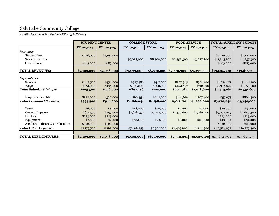*Auxiliaries Operating Budgets FY2015 & FY2014*

|                                            | <b>STUDENT CENTER</b> |             | <b>COLLEGE STORE</b> |             |             | <b>FOOD SERVICE</b> | <b>TOTAL AUXILIARY BUDGET</b> |              |
|--------------------------------------------|-----------------------|-------------|----------------------|-------------|-------------|---------------------|-------------------------------|--------------|
|                                            | FY2013-14             | FY 2014-15  | FY2013-14            | FY 2014-15  | FY2013-14   | FY 2014-15          | FY2013-14                     | FY 2014-15   |
| Revenues:                                  |                       |             |                      |             |             |                     |                               |              |
| <b>Student Fees</b>                        | \$1,226,000           | \$1,193,000 |                      |             |             |                     | \$1,226,000                   | \$1,193,000  |
| Sales & Services                           |                       |             | \$9,033,000          | \$8,500,000 | \$2,552,300 | \$3,037,300         | \$11,585,300                  | \$11,537,300 |
| <b>Other Sources</b>                       | \$883,000             | \$885,000   |                      |             |             |                     | \$883,000                     | \$885,000    |
|                                            |                       |             |                      |             |             |                     |                               |              |
| <b>TOTAL REVENUES:</b>                     | \$2,109,000           | \$2,078,000 | \$9,033,000          | \$8,500,000 | \$2,552,300 | \$3,037,300         | \$13,694,300                  | \$13,615,300 |
|                                            |                       |             |                      |             |             |                     |                               |              |
| Expenditures:<br><b>Salaries</b>           |                       |             |                      |             |             |                     |                               |              |
|                                            | \$449,500             | \$458,000   | \$397,586            | \$417,000   | \$227,385   | \$306,100           | \$1,074,471                   | \$1,181,100  |
| Wages<br><b>Total Salaries &amp; Wages</b> | \$164,000             | \$138,000   | \$500,000            | \$500,000   | \$674,697   | \$712,500           | \$1,338,697                   | \$1,350,500  |
|                                            | \$613,500             | \$596,000   | \$897,586            | \$917,000   | \$902,082   | \$1,018,600         | \$2,413,167                   | \$2,531,600  |
| <b>Employee Benefits</b>                   | \$322,000             | \$320,000   | \$268,456            | \$281,000   | \$166,619   | \$207,400           | \$757,075                     | \$808,400    |
| <b>Total Personnel Services</b>            | \$935,500             | \$916,000   | \$1,166,041          | \$1,198,000 | \$1,068,701 | \$1,226,000         | \$3,170,242                   | \$3,340,000  |
|                                            |                       |             |                      |             |             |                     |                               |              |
| Travel                                     | \$6,000               | \$8,000     | \$18,000             | \$20,000    | \$5,000     | \$5,000             | \$29,000                      | \$33,000     |
| <b>Current Expense</b>                     | \$615,500             | \$597,000   | \$7,818,959          | \$7,257,000 | \$1,470,600 | \$1,786,300         | \$9,905,059                   | \$9,640,300  |
| Utilities                                  | \$223,000             | \$225,000   |                      |             |             |                     | \$223,000                     | \$225,000    |
| Equipment                                  | \$7,000               | \$9,000     | \$30,000             | \$25,000    | \$8,000     | \$20,000            | \$45,000                      | \$54,000     |
| <b>Auxiliary Indirect Cost Allocation</b>  | \$322,000             | \$323,000   |                      |             |             |                     | \$322,000                     | \$323,000    |
| <b>Total Other Expenses</b>                | \$1,173,500           | \$1,162,000 | \$7,866,959          | \$7,302,000 | \$1,483,600 | \$1,811,300         | \$10,524,059                  | \$10,275,300 |
|                                            |                       |             |                      |             |             |                     |                               |              |
| <b>TOTAL EXPENDITURES:</b>                 | \$2,109,000           | \$2,078,000 | \$9,033,000          | \$8,500,000 | \$2,552,301 | \$3,037,300         | \$13,694,301                  | \$13,615,299 |